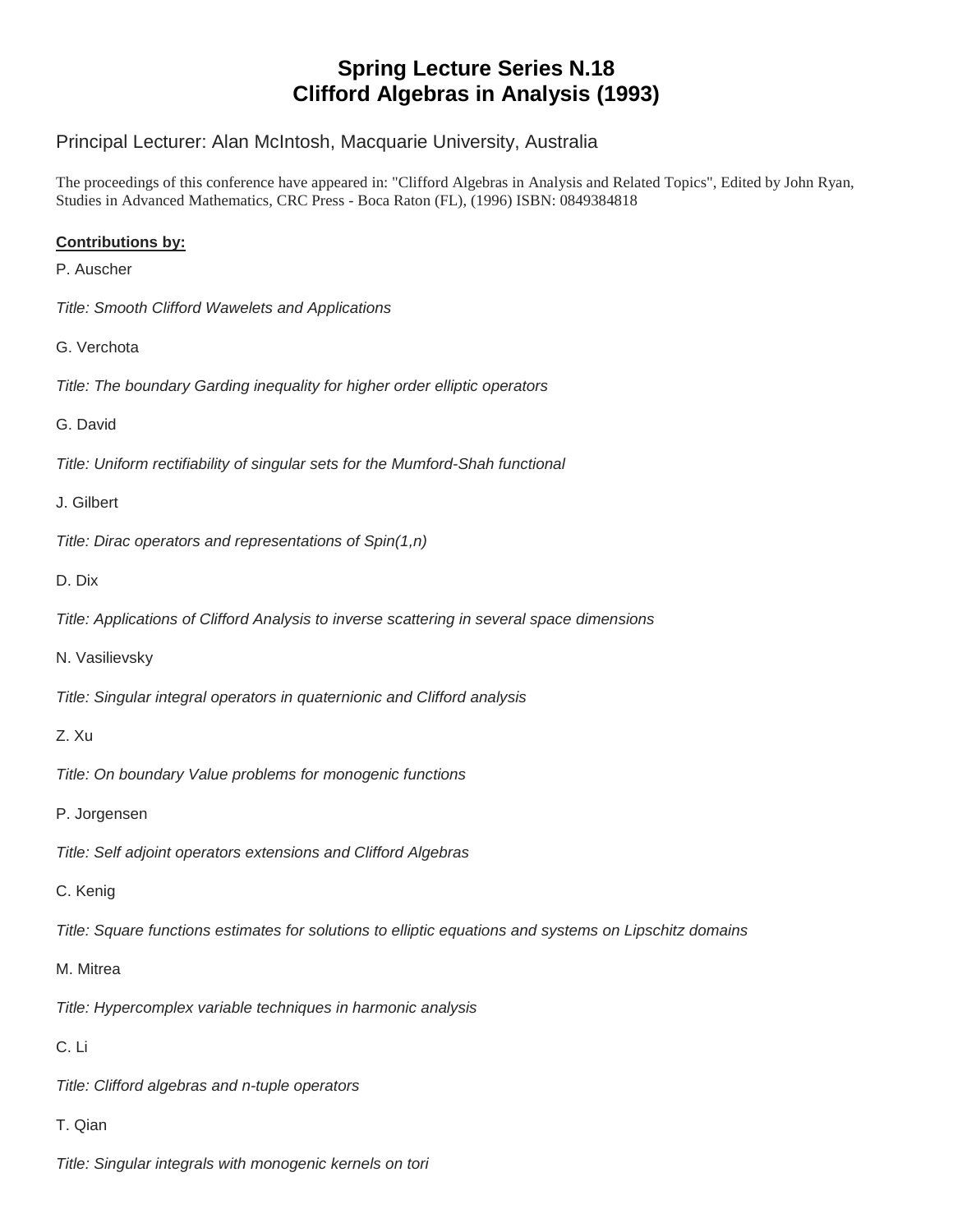# **Spring Lecture Series N.18 Clifford Algebras in Analysis (1993)**

# Principal Lecturer: Alan McIntosh, Macquarie University, Australia

The proceedings of this conference have appeared in: "Clifford Algebras in Analysis and Related Topics", Edited by John Ryan, Studies in Advanced Mathematics, CRC Press - Boca Raton (FL), (1996) ISBN: 0849384818

## **Contributions by:**

- P. Auscher
- *Title: Smooth Clifford Wawelets and Applications*
- G. Verchota
- *Title: The boundary Garding inequality for higher order elliptic operators*
- G. David
- *Title: Uniform rectifiability of singular sets for the Mumford-Shah functional*
- J. Gilbert
- *Title: Dirac operators and representations of Spin(1,n)*
- D. Dix
- *Title: Applications of Clifford Analysis to inverse scattering in several space dimensions*
- N. Vasilievsky
- *Title: Singular integral operators in quaternionic and Clifford analysis*

## Z. Xu

- *Title: On boundary Value problems for monogenic functions*
- P. Jorgensen
- *Title: Self adjoint operators extensions and Clifford Algebras*
- C. Kenig
- *Title: Square functions estimates for solutions to elliptic equations and systems on Lipschitz domains*
- M. Mitrea
- *Title: Hypercomplex variable techniques in harmonic analysis*
- C. Li
- *Title: Clifford algebras and n-tuple operators*
- T. Qian
- *Title: Singular integrals with monogenic kernels on tori*